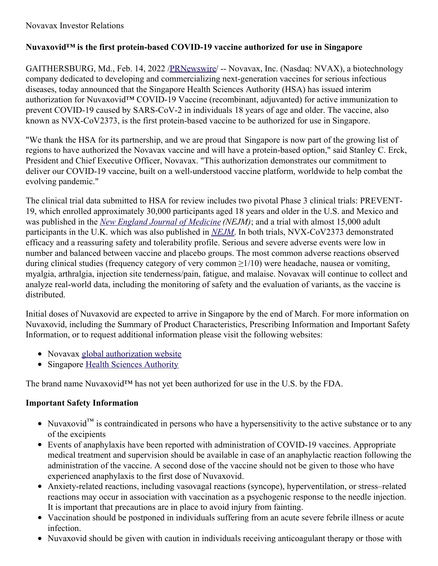## **Nuvaxovid™ is the first protein-based COVID-19 vaccine authorized for use in Singapore**

GAITHERSBURG, Md., Feb. 14, 2022 /*PRNewswire*/ -- Novavax, Inc. (Nasdaq: NVAX), a biotechnology company dedicated to developing and commercializing next-generation vaccines for serious infectious diseases, today announced that the Singapore Health Sciences Authority (HSA) has issued interim authorization for Nuvaxovid<sup>™</sup> COVID-19 Vaccine (recombinant, adjuvanted) for active immunization to prevent COVID-19 caused by SARS-CoV-2 in individuals 18 years of age and older. The vaccine, also known as NVX-CoV2373, is the first protein-based vaccine to be authorized for use in Singapore.

"We thank the HSA for its partnership, and we are proud that Singapore is now part of the growing list of regions to have authorized the Novavax vaccine and will have a protein-based option," said Stanley C. Erck, President and Chief Executive Officer, Novavax. "This authorization demonstrates our commitment to deliver our COVID-19 vaccine, built on a well-understood vaccine platform, worldwide to help combat the evolving pandemic."

The clinical trial data submitted to HSA for review includes two pivotal Phase 3 clinical trials: PREVENT-19, which enrolled approximately 30,000 participants aged 18 years and older in the U.S. and Mexico and was published in the *New England Journal of [Medicine](https://c212.net/c/link/?t=0&l=en&o=3442833-1&h=1048038206&u=https%3A%2F%2Fc212.net%2Fc%2Flink%2F%3Ft%3D0%26l%3Den%26o%3D3407775-1%26h%3D907997649%26u%3Dhttps%253A%252F%252Fwww.nejm.org%252Fdoi%252Ffull%252F10.1056%252FNEJMoa2116185%253Fquery%253Dfeatured_home%26a%3DNew%2BEngland%2BJournal%2Bof%2BMedicine&a=New+England+Journal+of+Medicine) (NEJM)*; and a trial with almost 15,000 adult participants in the U.K. which was also published in *[NEJM](https://c212.net/c/link/?t=0&l=en&o=3442833-1&h=3869842766&u=https%3A%2F%2Fc212.net%2Fc%2Flink%2F%3Ft%3D0%26l%3Den%26o%3D3407775-1%26h%3D4200925079%26u%3Dhttps%253A%252F%252Fwww.nejm.org%252Fdoi%252Ffull%252F10.1056%252FNEJMoa2107659%26a%3DNEJM&a=NEJM)*. In both trials, NVX-CoV2373 demonstrated efficacy and a reassuring safety and tolerability profile. Serious and severe adverse events were low in number and balanced between vaccine and placebo groups. The most common adverse reactions observed during clinical studies (frequency category of very common  $\geq 1/10$ ) were headache, nausea or vomiting, myalgia, arthralgia, injection site tenderness/pain, fatigue, and malaise. Novavax will continue to collect and analyze real-world data, including the monitoring of safety and the evaluation of variants, as the vaccine is distributed.

Initial doses of Nuvaxovid are expected to arrive in Singapore by the end of March. For more information on Nuvaxovid, including the Summary of Product Characteristics, Prescribing Information and Important Safety Information, or to request additional information please visit the following websites:

- Novavax global [authorization](https://c212.net/c/link/?t=0&l=en&o=3442833-1&h=921643750&u=https%3A%2F%2Fwww.novavaxcovidvaccine.com%2F&a=global+authorization+website) website
- Singapore Health Sciences [Authority](https://c212.net/c/link/?t=0&l=en&o=3442833-1&h=3332989022&u=https%3A%2F%2Fwww.hsa.gov.sg%2F&a=Health+Sciences+Authority)

The brand name Nuvaxovid™ has not yet been authorized for use in the U.S. by the FDA.

# **Important Safety Information**

- Nuvaxovid<sup>™</sup> is contraindicated in persons who have a hypersensitivity to the active substance or to any of the excipients
- Events of anaphylaxis have been reported with administration of COVID-19 vaccines. Appropriate medical treatment and supervision should be available in case of an anaphylactic reaction following the administration of the vaccine. A second dose of the vaccine should not be given to those who have experienced anaphylaxis to the first dose of Nuvaxovid.
- Anxiety-related reactions, including vasovagal reactions (syncope), hyperventilation, or stress–related reactions may occur in association with vaccination as a psychogenic response to the needle injection. It is important that precautions are in place to avoid injury from fainting.
- Vaccination should be postponed in individuals suffering from an acute severe febrile illness or acute infection.
- Nuvaxovid should be given with caution in individuals receiving anticoagulant therapy or those with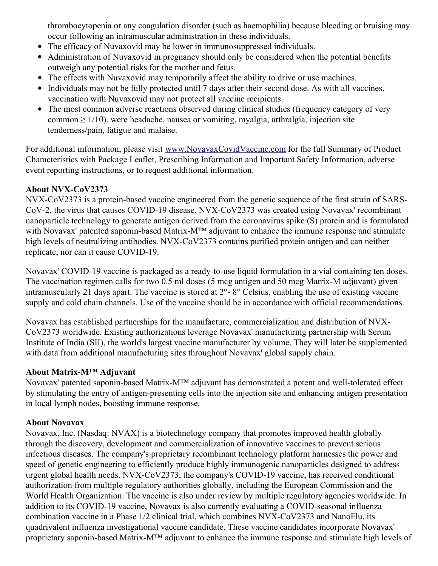thrombocytopenia or any coagulation disorder (such as haemophilia) because bleeding or bruising may occur following an intramuscular administration in these individuals.

- The efficacy of Nuvaxovid may be lower in immunosuppressed individuals.
- Administration of Nuvaxovid in pregnancy should only be considered when the potential benefits outweigh any potential risks for the mother and fetus.
- The effects with Nuvaxovid may temporarily affect the ability to drive or use machines.
- Individuals may not be fully protected until 7 days after their second dose. As with all vaccines, vaccination with Nuvaxovid may not protect all vaccine recipients.
- The most common adverse reactions observed during clinical studies (frequency category of very common ≥ 1/10), were headache, nausea or vomiting, myalgia, arthralgia, injection site tenderness/pain, fatigue and malaise.

For additional information, please visit [www.NovavaxCovidVaccine.com](https://c212.net/c/link/?t=0&l=en&o=3442833-1&h=321565625&u=https%3A%2F%2Fc212.net%2Fc%2Flink%2F%3Ft%3D0%26l%3Den%26o%3D3407775-1%26h%3D1457038180%26u%3Dhttp%253A%252F%252Fwww.novavaxcovidvaccine.com%252F%26a%3Dwww.NovavaxCovidVaccine.com&a=www.NovavaxCovidVaccine.com) for the full Summary of Product Characteristics with Package Leaflet, Prescribing Information and Important Safety Information, adverse event reporting instructions, or to request additional information.

## **About NVX-CoV2373**

NVX-CoV2373 is a protein-based vaccine engineered from the genetic sequence of the first strain of SARS-CoV-2, the virus that causes COVID-19 disease. NVX-CoV2373 was created using Novavax' recombinant nanoparticle technology to generate antigen derived from the coronavirus spike (S) protein and is formulated with Novavax' patented saponin-based Matrix-M™ adjuvant to enhance the immune response and stimulate high levels of neutralizing antibodies. NVX-CoV2373 contains purified protein antigen and can neither replicate, nor can it cause COVID-19.

Novavax' COVID-19 vaccine is packaged as a ready-to-use liquid formulation in a vial containing ten doses. The vaccination regimen calls for two 0.5 ml doses (5 mcg antigen and 50 mcg Matrix-M adjuvant) given intramuscularly 21 days apart. The vaccine is stored at 2°- 8° Celsius, enabling the use of existing vaccine supply and cold chain channels. Use of the vaccine should be in accordance with official recommendations.

Novavax has established partnerships for the manufacture, commercialization and distribution of NVX-CoV2373 worldwide. Existing authorizations leverage Novavax' manufacturing partnership with Serum Institute of India (SII), the world's largest vaccine manufacturer by volume. They will later be supplemented with data from additional manufacturing sites throughout Novavax' global supply chain.

### **About Matrix-M™ Adjuvant**

Novavax' patented saponin-based Matrix-M™ adjuvant has demonstrated a potent and well-tolerated effect by stimulating the entry of antigen-presenting cells into the injection site and enhancing antigen presentation in local lymph nodes, boosting immune response.

### **About Novavax**

Novavax, Inc. (Nasdaq: NVAX) is a biotechnology company that promotes improved health globally through the discovery, development and commercialization of innovative vaccines to prevent serious infectious diseases. The company's proprietary recombinant technology platform harnesses the power and speed of genetic engineering to efficiently produce highly immunogenic nanoparticles designed to address urgent global health needs. NVX-CoV2373, the company's COVID-19 vaccine, has received conditional authorization from multiple regulatory authorities globally, including the European Commission and the World Health Organization. The vaccine is also under review by multiple regulatory agencies worldwide. In addition to its COVID-19 vaccine, Novavax is also currently evaluating a COVID-seasonal influenza combination vaccine in a Phase 1/2 clinical trial, which combines NVX-CoV2373 and NanoFlu, its quadrivalent influenza investigational vaccine candidate. These vaccine candidates incorporate Novavax' proprietary saponin-based Matrix-M™ adjuvant to enhance the immune response and stimulate high levels of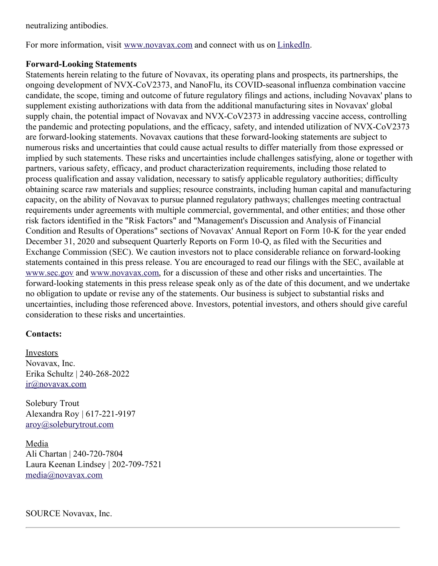neutralizing antibodies.

For more information, visit [www.novavax.com](https://c212.net/c/link/?t=0&l=en&o=3442833-1&h=61793967&u=https%3A%2F%2Fc212.net%2Fc%2Flink%2F%3Ft%3D0%26l%3Den%26o%3D3395501-1%26h%3D2463599076%26u%3Dhttps%253A%252F%252Fc212.net%252Fc%252Flink%252F%253Ft%253D0%2526l%253Den%2526o%253D3392093-1%2526h%253D203886192%2526u%253Dhttps%25253A%25252F%25252Fc212.net%25252Fc%25252Flink%25252F%25253Ft%25253D0%252526l%25253Den%252526o%25253D3387216-1%252526h%25253D3917401194%252526u%25253Dhttps%2525253A%2525252F%2525252Fc212.net%2525252Fc%2525252Flink%2525252F%2525253Ft%2525253D0%25252526l%2525253Den%25252526o%2525253D3260461-1%25252526h%2525253D2897486098%25252526u%2525253Dhttp%252525253A%252525252F%252525252Fwww.novavax.com%252525252F%25252526a%2525253Dwww.novavax.com%252526a%25253Dwww.novavax.com%2526a%253Dwww.novavax.com%26a%3Dwww.novavax.com&a=www.novavax.com) and connect with us on [LinkedIn](https://c212.net/c/link/?t=0&l=en&o=3442833-1&h=1292586512&u=https%3A%2F%2Fc212.net%2Fc%2Flink%2F%3Ft%3D0%26l%3Den%26o%3D3395501-1%26h%3D853375093%26u%3Dhttps%253A%252F%252Fc212.net%252Fc%252Flink%252F%253Ft%253D0%2526l%253Den%2526o%253D3392093-1%2526h%253D1325598136%2526u%253Dhttps%25253A%25252F%25252Fc212.net%25252Fc%25252Flink%25252F%25253Ft%25253D0%252526l%25253Den%252526o%25253D3387216-1%252526h%25253D2935962557%252526u%25253Dhttps%2525253A%2525252F%2525252Fc212.net%2525252Fc%2525252Flink%2525252F%2525253Ft%2525253D0%25252526l%2525253Den%25252526o%2525253D3260461-1%25252526h%2525253D1508558197%25252526u%2525253Dhttps%252525253A%252525252F%252525252Fc212.net%252525252Fc%252525252Flink%252525252F%252525253Ft%252525253D0%2525252526l%252525253Den%2525252526o%252525253D3158017-1%2525252526h%252525253D3702938248%2525252526u%252525253Dhttps%25252525253A%25252525252F%25252525252Fwww.linkedin.com%25252525252Fcompany%25252525252Fnovavax%25252525252F%2525252526a%252525253DLinkedIn%25252526a%2525253DLinkedIn%252526a%25253DLinkedIn%2526a%253DLinkedIn%26a%3DLinkedIn&a=LinkedIn).

#### **Forward-Looking Statements**

Statements herein relating to the future of Novavax, its operating plans and prospects, its partnerships, the ongoing development of NVX-CoV2373, and NanoFlu, its COVID-seasonal influenza combination vaccine candidate, the scope, timing and outcome of future regulatory filings and actions, including Novavax' plans to supplement existing authorizations with data from the additional manufacturing sites in Novavax' global supply chain, the potential impact of Novavax and NVX-CoV2373 in addressing vaccine access, controlling the pandemic and protecting populations, and the efficacy, safety, and intended utilization of NVX-CoV2373 are forward-looking statements. Novavax cautions that these forward-looking statements are subject to numerous risks and uncertainties that could cause actual results to differ materially from those expressed or implied by such statements. These risks and uncertainties include challenges satisfying, alone or together with partners, various safety, efficacy, and product characterization requirements, including those related to process qualification and assay validation, necessary to satisfy applicable regulatory authorities; difficulty obtaining scarce raw materials and supplies; resource constraints, including human capital and manufacturing capacity, on the ability of Novavax to pursue planned regulatory pathways; challenges meeting contractual requirements under agreements with multiple commercial, governmental, and other entities; and those other risk factors identified in the "Risk Factors" and "Management's Discussion and Analysis of Financial Condition and Results of Operations" sections of Novavax' Annual Report on Form 10-K for the year ended December 31, 2020 and subsequent Quarterly Reports on Form 10-Q, as filed with the Securities and Exchange Commission (SEC). We caution investors not to place considerable reliance on forward-looking statements contained in this press release. You are encouraged to read our filings with the SEC, available at [www.sec.gov](https://c212.net/c/link/?t=0&l=en&o=3442833-1&h=3917616752&u=http%3A%2F%2Fwww.sec.gov%2F&a=www.sec.gov) and [www.novavax.com](https://c212.net/c/link/?t=0&l=en&o=3442833-1&h=3971500768&u=http%3A%2F%2Fwww.novavax.com%2F&a=www.novavax.com), for a discussion of these and other risks and uncertainties. The forward-looking statements in this press release speak only as of the date of this document, and we undertake no obligation to update or revise any of the statements. Our business is subject to substantial risks and uncertainties, including those referenced above. Investors, potential investors, and others should give careful consideration to these risks and uncertainties.

#### **Contacts:**

Investors Novavax, Inc. Erika Schultz | 240-268-2022 [ir@novavax.com](mailto:ir@novavax.com)

Solebury Trout Alexandra Roy | 617-221-9197 [aroy@soleburytrout.com](mailto:aroy@soleburytrout.com)

Media Ali Chartan | 240-720-7804 Laura Keenan Lindsey | 202-709-7521 [media@novavax.com](mailto:media@novavax.com)